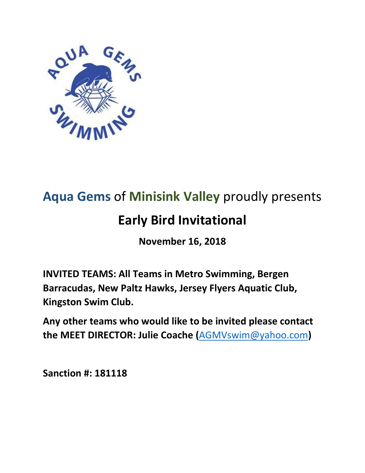

# **Aqua Gems** of **Minisink Valley** proudly presents

# **Early Bird Invitational**

**November 16, 2018**

**INVITED TEAMS: All Teams in Metro Swimming, Bergen Barracudas, New Paltz Hawks, Jersey Flyers Aquatic Club, Kingston Swim Club.** 

**Any other teams who would like to be invited please contact the MEET DIRECTOR: Julie Coache (**[AGMVswim@yahoo.com](mailto:AGMVswim@yahoo.com)**)**

**Sanction #: 181118**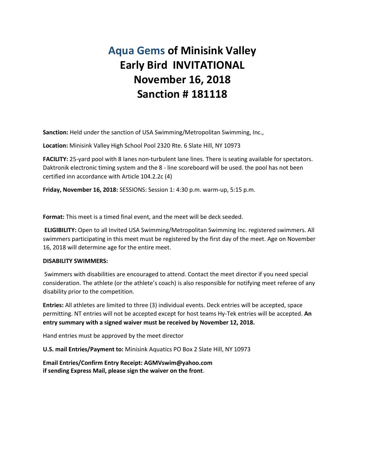## **Aqua Gems of Minisink Valley Early Bird INVITATIONAL November 16, 2018 Sanction # 181118**

**Sanction:** Held under the sanction of USA Swimming/Metropolitan Swimming, Inc.,

**Location:** Minisink Valley High School Pool 2320 Rte. 6 Slate Hill, NY 10973

**FACILITY:** 25-yard pool with 8 lanes non-turbulent lane lines. There is seating available for spectators. Daktronik electronic timing system and the 8 - line scoreboard will be used. the pool has not been certified inn accordance with Article 104.2.2c (4)

**Friday, November 16, 2018:** SESSIONS: Session 1: 4:30 p.m. warm-up, 5:15 p.m.

**Format:** This meet is a timed final event, and the meet will be deck seeded.

**ELIGIBILITY:** Open to all Invited USA Swimming/Metropolitan Swimming Inc. registered swimmers. All swimmers participating in this meet must be registered by the first day of the meet. Age on November 16, 2018 will determine age for the entire meet.

#### **DISABILITY SWIMMERS:**

Swimmers with disabilities are encouraged to attend. Contact the meet director if you need special consideration. The athlete (or the athlete's coach) is also responsible for notifying meet referee of any disability prior to the competition.

**Entries:** All athletes are limited to three (3) individual events. Deck entries will be accepted, space permitting. NT entries will not be accepted except for host teams Hy-Tek entries will be accepted. **An entry summary with a signed waiver must be received by November 12, 2018.** 

Hand entries must be approved by the meet director

**U.S. mail Entries/Payment to:** Minisink Aquatics PO Box 2 Slate Hill, NY 10973

**Email Entries/Confirm Entry Receipt: AGMVswim@yahoo.com if sending Express Mail, please sign the waiver on the front**.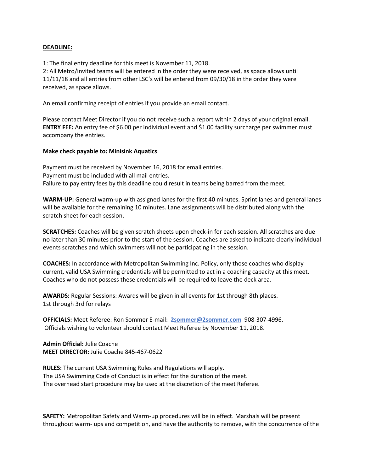## **DEADLINE:**

1: The final entry deadline for this meet is November 11, 2018.

2: All Metro/invited teams will be entered in the order they were received, as space allows until 11/11/18 and all entries from other LSC's will be entered from 09/30/18 in the order they were received, as space allows.

An email confirming receipt of entries if you provide an email contact.

Please contact Meet Director if you do not receive such a report within 2 days of your original email. **ENTRY FEE:** An entry fee of \$6.00 per individual event and \$1.00 facility surcharge per swimmer must accompany the entries.

## **Make check payable to: Minisink Aquatics**

Payment must be received by November 16, 2018 for email entries. Payment must be included with all mail entries. Failure to pay entry fees by this deadline could result in teams being barred from the meet.

**WARM-UP:** General warm-up with assigned lanes for the first 40 minutes. Sprint lanes and general lanes will be available for the remaining 10 minutes. Lane assignments will be distributed along with the scratch sheet for each session.

**SCRATCHES:** Coaches will be given scratch sheets upon check-in for each session. All scratches are due no later than 30 minutes prior to the start of the session. Coaches are asked to indicate clearly individual events scratches and which swimmers will not be participating in the session.

**COACHES:** In accordance with Metropolitan Swimming Inc. Policy, only those coaches who display current, valid USA Swimming credentials will be permitted to act in a coaching capacity at this meet. Coaches who do not possess these credentials will be required to leave the deck area.

**AWARDS:** Regular Sessions: Awards will be given in all events for 1st through 8th places. 1st through 3rd for relays

**OFFICIALS:** Meet Referee: Ron Sommer E-mail: **[2sommer@2sommer.com](mailto:sommer@2sommer.com)** 908-307-4996. Officials wishing to volunteer should contact Meet Referee by November 11, 2018.

**Admin Official:** Julie Coache **MEET DIRECTOR:** Julie Coache 845-467-0622

**RULES:** The current USA Swimming Rules and Regulations will apply. The USA Swimming Code of Conduct is in effect for the duration of the meet. The overhead start procedure may be used at the discretion of the meet Referee.

**SAFETY:** Metropolitan Safety and Warm-up procedures will be in effect. Marshals will be present throughout warm- ups and competition, and have the authority to remove, with the concurrence of the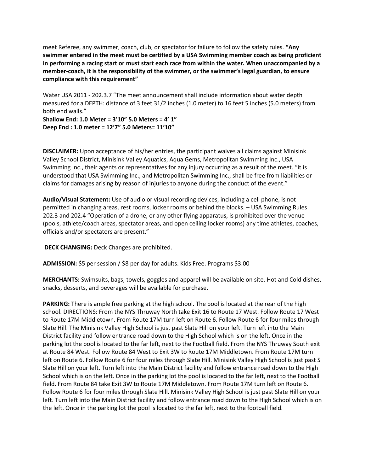meet Referee, any swimmer, coach, club, or spectator for failure to follow the safety rules. **"Any swimmer entered in the meet must be certified by a USA Swimming member coach as being proficient in performing a racing start or must start each race from within the water. When unaccompanied by a member-coach, it is the responsibility of the swimmer, or the swimmer's legal guardian, to ensure compliance with this requirement"**

Water USA 2011 - 202.3.7 "The meet announcement shall include information about water depth measured for a DEPTH: distance of 3 feet 31/2 inches (1.0 meter) to 16 feet 5 inches (5.0 meters) from both end walls."

**Shallow End: 1.0 Meter = 3'10" 5.0 Meters = 4' 1" Deep End : 1.0 meter = 12'7" 5.0 Meters= 11'10"** 

**DISCLAIMER:** Upon acceptance of his/her entries, the participant waives all claims against Minisink Valley School District, Minisink Valley Aquatics, Aqua Gems, Metropolitan Swimming Inc., USA Swimming Inc., their agents or representatives for any injury occurring as a result of the meet. "it is understood that USA Swimming Inc., and Metropolitan Swimming Inc., shall be free from liabilities or claims for damages arising by reason of injuries to anyone during the conduct of the event."

**Audio/Visual Statement:** Use of audio or visual recording devices, including a cell phone, is not permitted in changing areas, rest rooms, locker rooms or behind the blocks. – USA Swimming Rules 202.3 and 202.4 "Operation of a drone, or any other flying apparatus, is prohibited over the venue (pools, athlete/coach areas, spectator areas, and open ceiling locker rooms) any time athletes, coaches, officials and/or spectators are present."

**DECK CHANGING:** Deck Changes are prohibited.

**ADMISSION:** \$5 per session / \$8 per day for adults. Kids Free. Programs \$3.00

**MERCHANTS:** Swimsuits, bags, towels, goggles and apparel will be available on site. Hot and Cold dishes, snacks, desserts, and beverages will be available for purchase.

**PARKING:** There is ample free parking at the high school. The pool is located at the rear of the high school. DIRECTIONS: From the NYS Thruway North take Exit 16 to Route 17 West. Follow Route 17 West to Route 17M Middletown. From Route 17M turn left on Route 6. Follow Route 6 for four miles through Slate Hill. The Minisink Valley High School is just past Slate Hill on your left. Turn left into the Main District facility and follow entrance road down to the High School which is on the left. Once in the parking lot the pool is located to the far left, next to the Football field. From the NYS Thruway South exit at Route 84 West. Follow Route 84 West to Exit 3W to Route 17M Middletown. From Route 17M turn left on Route 6. Follow Route 6 for four miles through Slate Hill. Minisink Valley High School is just past S Slate Hill on your left. Turn left into the Main District facility and follow entrance road down to the High School which is on the left. Once in the parking lot the pool is located to the far left, next to the Football field. From Route 84 take Exit 3W to Route 17M Middletown. From Route 17M turn left on Route 6. Follow Route 6 for four miles through Slate Hill. Minisink Valley High School is just past Slate Hill on your left. Turn left into the Main District facility and follow entrance road down to the High School which is on the left. Once in the parking lot the pool is located to the far left, next to the football field.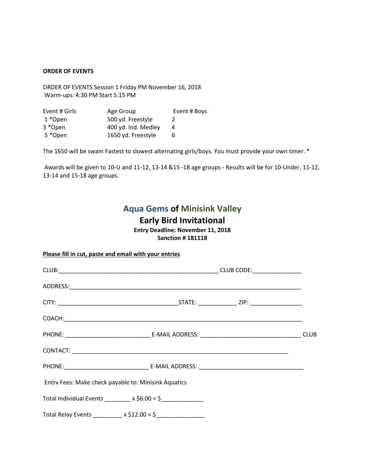#### **ORDER OF EVENTS**

ORDER OF EVENTS Session 1 Friday PM November 16, 2018 Warm-ups: 4:30 PM Start 5:15 PM

| Event # Girls | Age Group           | Event # Boys |
|---------------|---------------------|--------------|
| 1 *Open       | 500 yd. Freestyle   | 2            |
| 3 *Open       | 400 yd. Ind. Medley | 4            |
| 5 *Open       | 1650 yd. Freestyle  | 6            |

The 1650 will be swam Fastest to slowest alternating girls/boys. You must provide your own timer. \*

Awards will be given to 10-U and 11-12, 13-14 &15 -18 age groups - Results will be for 10-Under, 11-12, 13-14 and 15-18 age groups.

## **Aqua Gems of Minisink Valley**

## **Early Bird Invitational**

**Entry Deadline: November 11, 2018 Sanction # 181118**

| Please fill in cut, paste and email with your entries       |  |  |
|-------------------------------------------------------------|--|--|
|                                                             |  |  |
|                                                             |  |  |
|                                                             |  |  |
|                                                             |  |  |
|                                                             |  |  |
|                                                             |  |  |
|                                                             |  |  |
| Entry Fees: Make check payable to: Minisink Aquatics        |  |  |
| Total Individual Events ________ x \$6.00 = \$_____________ |  |  |
|                                                             |  |  |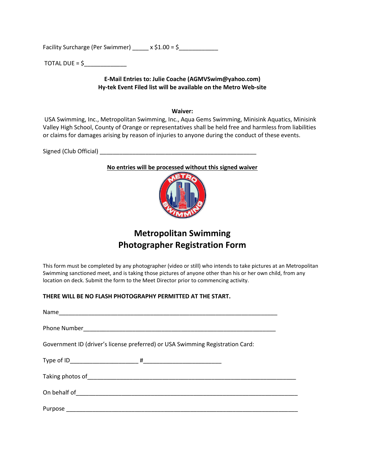Facility Surcharge (Per Swimmer) \_\_\_\_\_\_ x \$1.00 = \$

TOTAL DUE =  $\zeta$ 

## **E-Mail Entries to: Julie Coache (AGMVSwim@yahoo.com) Hy-tek Event Filed list will be available on the Metro Web-site**

#### **Waiver:**

USA Swimming, Inc., Metropolitan Swimming, Inc., Aqua Gems Swimming, Minisink Aquatics, Minisink Valley High School, County of Orange or representatives shall be held free and harmless from liabilities or claims for damages arising by reason of injuries to anyone during the conduct of these events.

Signed (Club Official) \_\_\_\_\_\_\_\_\_\_\_\_\_\_\_\_\_\_\_\_\_\_\_\_\_\_\_\_\_\_\_\_\_\_\_\_\_\_\_\_\_\_\_\_\_\_\_\_

## **No entries will be processed without this signed waiver**



## **Metropolitan Swimming Photographer Registration Form**

This form must be completed by any photographer (video or still) who intends to take pictures at an Metropolitan Swimming sanctioned meet, and is taking those pictures of anyone other than his or her own child, from any location on deck. Submit the form to the Meet Director prior to commencing activity.

## **THERE WILL BE NO FLASH PHOTOGRAPHY PERMITTED AT THE START.**

| Government ID (driver's license preferred) or USA Swimming Registration Card: |
|-------------------------------------------------------------------------------|
|                                                                               |
|                                                                               |
|                                                                               |
|                                                                               |